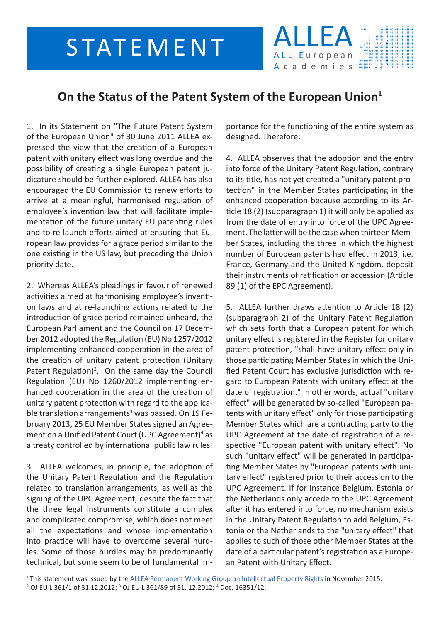## STATEMENT



## **On the Status of the Patent System of the European Union1**

1. In its Statement on "The Future Patent System of the European Union" of 30 June 2011 ALLEA expressed the view that the creation of a European patent with unitary effect was long overdue and the possibility of creating a single European patent judicature should be further explored. ALLEA has also encouraged the EU Commission to renew efforts to arrive at a meaningful, harmonised regulation of employee's invention law that will facilitate implementation of the future unitary EU patenting rules and to re-launch efforts aimed at ensuring that European law provides for a grace period similar to the one existing in the US law, but preceding the Union priority date.

2. Whereas ALLEA's pleadings in favour of renewed activities aimed at harmonising employee's invention laws and at re-launching actions related to the introduction of grace period remained unheard, the European Parliament and the Council on 17 December 2012 adopted the Regulation (EU) No 1257/2012 implementing enhanced cooperation in the area of the creation of unitary patent protection (Unitary Patent Regulation)<sup>2</sup>. On the same day the Council Regulation (EU) No 1260/2012 implementing enhanced cooperation in the area of the creation of unitary patent protection with regard to the applicable translation arrangements<sup>3</sup> was passed. On 19 February 2013, 25 EU Member States signed an Agreement on a Unified Patent Court (UPC Agreement)<sup>4</sup> as a treaty controlled by international public law rules.

3. ALLEA welcomes, in principle, the adoption of the Unitary Patent Regulation and the Regulation related to translation arrangements, as well as the signing of the UPC Agreement, despite the fact that the three legal instruments constitute a complex and complicated compromise, which does not meet all the expectations and whose implementation into practice will have to overcome several hurdles. Some of those hurdles may be predominantly technical, but some seem to be of fundamental im-

portance for the functioning of the entire system as designed. Therefore:

4. ALLEA observes that the adoption and the entry into force of the Unitary Patent Regulation, contrary to its title, has not yet created a "unitary patent protection" in the Member States participating in the enhanced cooperation because according to its Article 18 (2) (subparagraph 1) it will only be applied as from the date of entry into force of the UPC Agreement. The latter will be the case when thirteen Member States, including the three in which the highest number of European patents had effect in 2013, i.e. France, Germany and the United Kingdom, deposit their instruments of ratification or accession (Article 89 (1) of the EPC Agreement).

5. ALLEA further draws attention to Article 18 (2) (subparagraph 2) of the Unitary Patent Regulation which sets forth that a European patent for which unitary effect is registered in the Register for unitary patent protection, "shall have unitary effect only in those participating Member States in which the Unified Patent Court has exclusive jurisdiction with regard to European Patents with unitary effect at the date of registration." In other words, actual "unitary effect" will be generated by so-called "European patents with unitary effect" only for those participating Member States which are a contracting party to the UPC Agreement at the date of registration of a respective "European patent with unitary effect". No such "unitary effect" will be generated in participating Member States by "European patents with unitary effect" registered prior to their accession to the UPC Agreement. If for instance Belgium, Estonia or the Netherlands only accede to the UPC Agreement after it has entered into force, no mechanism exists in the Unitary Patent Regulation to add Belgium, Estonia or the Netherlands to the "unitary effect" that applies to such of those other Member States at the date of a particular patent's registration as a European Patent with Unitary Effect.

<sup>&</sup>lt;sup>1</sup>This statement was issued by the [ALLEA Permanent Working Group on Intellectual Property Rights](http://allea.org/Pages/ALL/19/229.bGFuZz1FTkc.html) in November 2015. 2 OJ EU L 361/1 of 31.12.2012; <sup>3</sup> OJ EU L 361/89 of 31. 12.2012; <sup>4</sup> Doc. 16351/12.